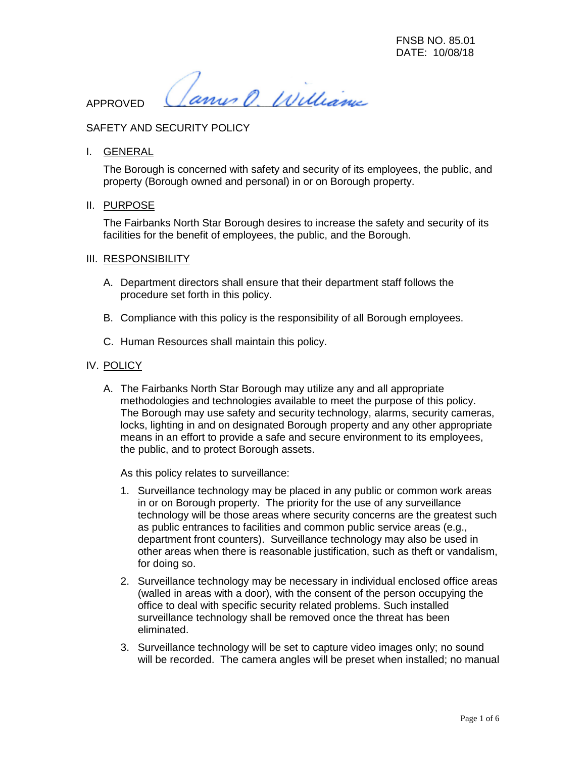ann O. Williams

APPROVED

# SAFETY AND SECURITY POLICY

I. GENERAL

The Borough is concerned with safety and security of its employees, the public, and property (Borough owned and personal) in or on Borough property.

II. PURPOSE

The Fairbanks North Star Borough desires to increase the safety and security of its facilities for the benefit of employees, the public, and the Borough.

- III. RESPONSIBILITY
	- A. Department directors shall ensure that their department staff follows the procedure set forth in this policy.
	- B. Compliance with this policy is the responsibility of all Borough employees.
	- C. Human Resources shall maintain this policy.

#### IV. POLICY

A. The Fairbanks North Star Borough may utilize any and all appropriate methodologies and technologies available to meet the purpose of this policy. The Borough may use safety and security technology, alarms, security cameras, locks, lighting in and on designated Borough property and any other appropriate means in an effort to provide a safe and secure environment to its employees, the public, and to protect Borough assets.

As this policy relates to surveillance:

- 1. Surveillance technology may be placed in any public or common work areas in or on Borough property. The priority for the use of any surveillance technology will be those areas where security concerns are the greatest such as public entrances to facilities and common public service areas (e.g., department front counters). Surveillance technology may also be used in other areas when there is reasonable justification, such as theft or vandalism, for doing so.
- 2. Surveillance technology may be necessary in individual enclosed office areas (walled in areas with a door), with the consent of the person occupying the office to deal with specific security related problems. Such installed surveillance technology shall be removed once the threat has been eliminated.
- 3. Surveillance technology will be set to capture video images only; no sound will be recorded. The camera angles will be preset when installed; no manual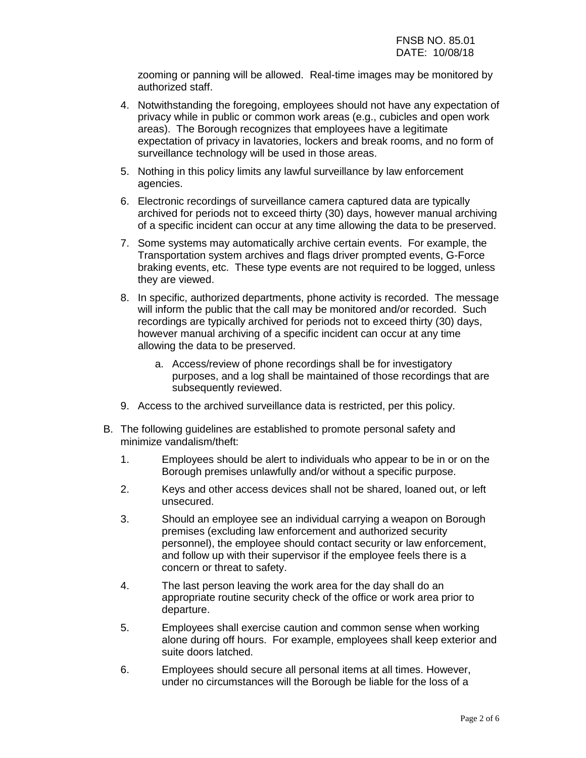zooming or panning will be allowed. Real-time images may be monitored by authorized staff.

- 4. Notwithstanding the foregoing, employees should not have any expectation of privacy while in public or common work areas (e.g., cubicles and open work areas). The Borough recognizes that employees have a legitimate expectation of privacy in lavatories, lockers and break rooms, and no form of surveillance technology will be used in those areas.
- 5. Nothing in this policy limits any lawful surveillance by law enforcement agencies.
- 6. Electronic recordings of surveillance camera captured data are typically archived for periods not to exceed thirty (30) days, however manual archiving of a specific incident can occur at any time allowing the data to be preserved.
- 7. Some systems may automatically archive certain events. For example, the Transportation system archives and flags driver prompted events, G-Force braking events, etc. These type events are not required to be logged, unless they are viewed.
- 8. In specific, authorized departments, phone activity is recorded. The message will inform the public that the call may be monitored and/or recorded. Such recordings are typically archived for periods not to exceed thirty (30) days, however manual archiving of a specific incident can occur at any time allowing the data to be preserved.
	- a. Access/review of phone recordings shall be for investigatory purposes, and a log shall be maintained of those recordings that are subsequently reviewed.
- 9. Access to the archived surveillance data is restricted, per this policy.
- B. The following guidelines are established to promote personal safety and minimize vandalism/theft:
	- 1. Employees should be alert to individuals who appear to be in or on the Borough premises unlawfully and/or without a specific purpose.
	- 2. Keys and other access devices shall not be shared, loaned out, or left unsecured.
	- 3. Should an employee see an individual carrying a weapon on Borough premises (excluding law enforcement and authorized security personnel), the employee should contact security or law enforcement, and follow up with their supervisor if the employee feels there is a concern or threat to safety.
	- 4. The last person leaving the work area for the day shall do an appropriate routine security check of the office or work area prior to departure.
	- 5. Employees shall exercise caution and common sense when working alone during off hours. For example, employees shall keep exterior and suite doors latched.
	- 6. Employees should secure all personal items at all times. However, under no circumstances will the Borough be liable for the loss of a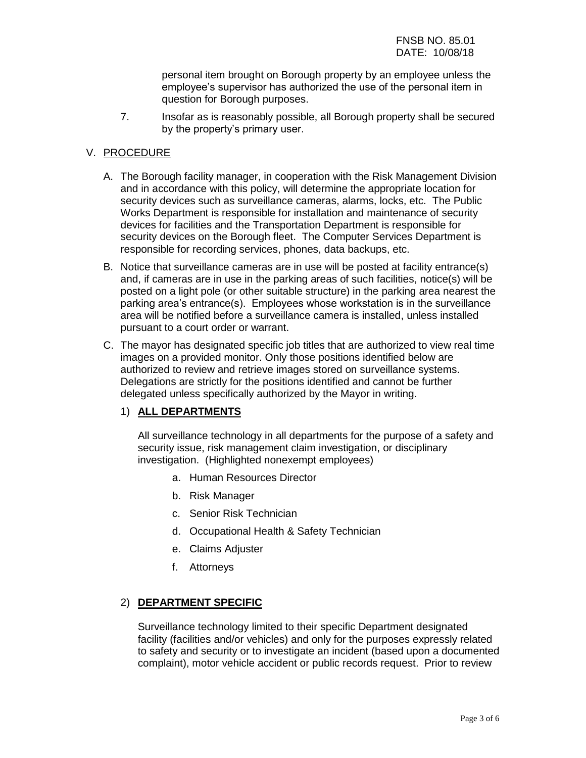personal item brought on Borough property by an employee unless the employee's supervisor has authorized the use of the personal item in question for Borough purposes.

7. Insofar as is reasonably possible, all Borough property shall be secured by the property's primary user.

## V. PROCEDURE

- A. The Borough facility manager, in cooperation with the Risk Management Division and in accordance with this policy, will determine the appropriate location for security devices such as surveillance cameras, alarms, locks, etc. The Public Works Department is responsible for installation and maintenance of security devices for facilities and the Transportation Department is responsible for security devices on the Borough fleet. The Computer Services Department is responsible for recording services, phones, data backups, etc.
- B. Notice that surveillance cameras are in use will be posted at facility entrance(s) and, if cameras are in use in the parking areas of such facilities, notice(s) will be posted on a light pole (or other suitable structure) in the parking area nearest the parking area's entrance(s). Employees whose workstation is in the surveillance area will be notified before a surveillance camera is installed, unless installed pursuant to a court order or warrant.
- C. The mayor has designated specific job titles that are authorized to view real time images on a provided monitor. Only those positions identified below are authorized to review and retrieve images stored on surveillance systems. Delegations are strictly for the positions identified and cannot be further delegated unless specifically authorized by the Mayor in writing.

# 1) **ALL DEPARTMENTS**

All surveillance technology in all departments for the purpose of a safety and security issue, risk management claim investigation, or disciplinary investigation. (Highlighted nonexempt employees)

- a. Human Resources Director
- b. Risk Manager
- c. Senior Risk Technician
- d. Occupational Health & Safety Technician
- e. Claims Adjuster
- f. Attorneys

### 2) **DEPARTMENT SPECIFIC**

Surveillance technology limited to their specific Department designated facility (facilities and/or vehicles) and only for the purposes expressly related to safety and security or to investigate an incident (based upon a documented complaint), motor vehicle accident or public records request. Prior to review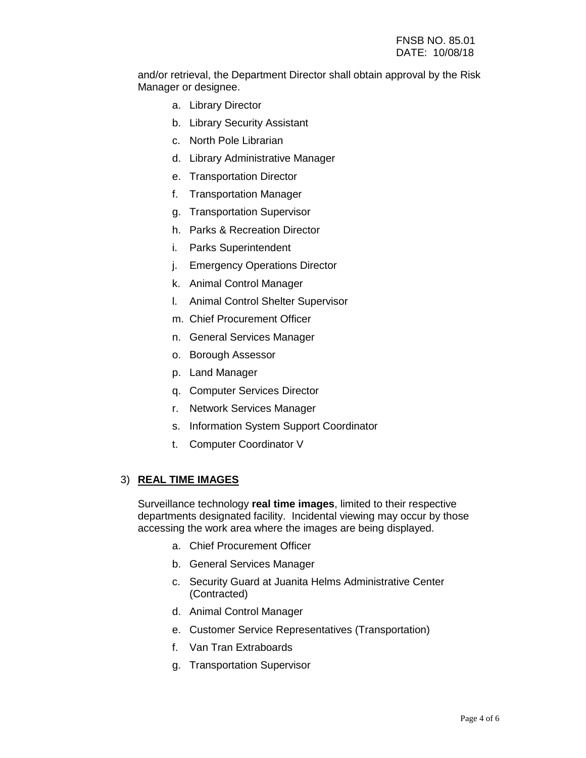and/or retrieval, the Department Director shall obtain approval by the Risk Manager or designee.

- a. Library Director
- b. Library Security Assistant
- c. North Pole Librarian
- d. Library Administrative Manager
- e. Transportation Director
- f. Transportation Manager
- g. Transportation Supervisor
- h. Parks & Recreation Director
- i. Parks Superintendent
- j. Emergency Operations Director
- k. Animal Control Manager
- l. Animal Control Shelter Supervisor
- m. Chief Procurement Officer
- n. General Services Manager
- o. Borough Assessor
- p. Land Manager
- q. Computer Services Director
- r. Network Services Manager
- s. Information System Support Coordinator
- t. Computer Coordinator V

### 3) **REAL TIME IMAGES**

Surveillance technology **real time images**, limited to their respective departments designated facility. Incidental viewing may occur by those accessing the work area where the images are being displayed.

- a. Chief Procurement Officer
- b. General Services Manager
- c. Security Guard at Juanita Helms Administrative Center (Contracted)
- d. Animal Control Manager
- e. Customer Service Representatives (Transportation)
- f. Van Tran Extraboards
- g. Transportation Supervisor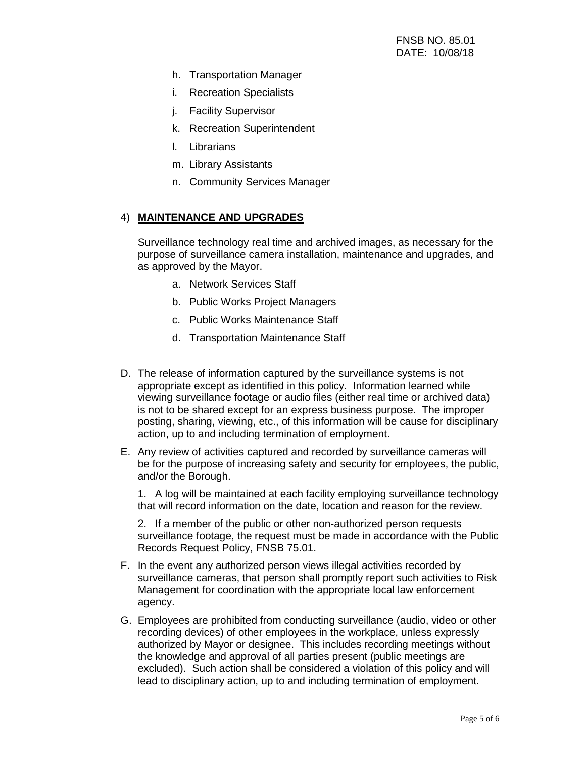- h. Transportation Manager
- i. Recreation Specialists
- j. Facility Supervisor
- k. Recreation Superintendent
- l. Librarians
- m. Library Assistants
- n. Community Services Manager

## 4) **MAINTENANCE AND UPGRADES**

Surveillance technology real time and archived images, as necessary for the purpose of surveillance camera installation, maintenance and upgrades, and as approved by the Mayor.

- a. Network Services Staff
- b. Public Works Project Managers
- c. Public Works Maintenance Staff
- d. Transportation Maintenance Staff
- D. The release of information captured by the surveillance systems is not appropriate except as identified in this policy. Information learned while viewing surveillance footage or audio files (either real time or archived data) is not to be shared except for an express business purpose. The improper posting, sharing, viewing, etc., of this information will be cause for disciplinary action, up to and including termination of employment.
- E. Any review of activities captured and recorded by surveillance cameras will be for the purpose of increasing safety and security for employees, the public, and/or the Borough.

1. A log will be maintained at each facility employing surveillance technology that will record information on the date, location and reason for the review.

2. If a member of the public or other non-authorized person requests surveillance footage, the request must be made in accordance with the Public Records Request Policy, FNSB 75.01.

- F. In the event any authorized person views illegal activities recorded by surveillance cameras, that person shall promptly report such activities to Risk Management for coordination with the appropriate local law enforcement agency.
- G. Employees are prohibited from conducting surveillance (audio, video or other recording devices) of other employees in the workplace, unless expressly authorized by Mayor or designee. This includes recording meetings without the knowledge and approval of all parties present (public meetings are excluded). Such action shall be considered a violation of this policy and will lead to disciplinary action, up to and including termination of employment.